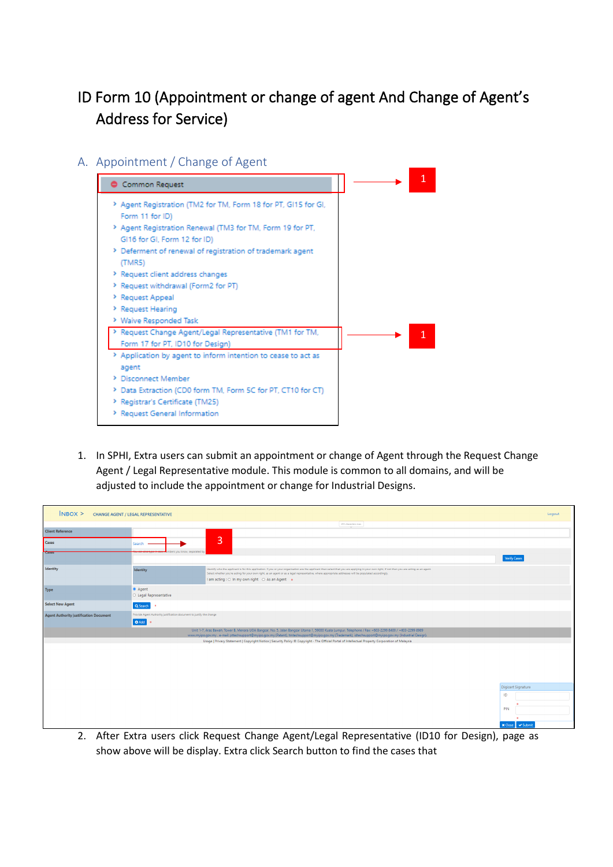## ID Form 10 (Appointment or change of agent And Change of Agent's Address for Service)

A. Appointment / Change of Agent



1. In SPHI, Extra users can submit an appointment or change of Agent through the Request Change Agent / Legal Representative module. This module is common to all domains, and will be adjusted to include the appointment or change for Industrial Designs.

| $N$ BOX $>$                                   | <b>CHANGE AGENT / LEGAL REPRESENTATIVE</b>                                        |                                                                                                                                                                                                                                                                                                                                                                                                            | Logout             |
|-----------------------------------------------|-----------------------------------------------------------------------------------|------------------------------------------------------------------------------------------------------------------------------------------------------------------------------------------------------------------------------------------------------------------------------------------------------------------------------------------------------------------------------------------------------------|--------------------|
|                                               |                                                                                   | 255 characters max.<br>$\sim$                                                                                                                                                                                                                                                                                                                                                                              |                    |
| <b>Client Reference</b>                       |                                                                                   |                                                                                                                                                                                                                                                                                                                                                                                                            |                    |
| Cases                                         | Search                                                                            | 3                                                                                                                                                                                                                                                                                                                                                                                                          |                    |
|                                               | sers you know, separated b                                                        |                                                                                                                                                                                                                                                                                                                                                                                                            | Verify Cases       |
| Identity                                      | Identity                                                                          | Identify who the applicant is for this application. If you or your organisation are the applicant then select that you are applying in your own right, if not then you are acting as an agent.<br>Select whether you're acting for your own right, as an agent or as a legal representative, where appropriate addresses will be populated accordingly.<br>I am acting : O In my own right O As an Agent . |                    |
| <b>Type</b>                                   | ● Agent<br>O Legal Representative                                                 |                                                                                                                                                                                                                                                                                                                                                                                                            |                    |
| <b>Select New Agent</b>                       | Q Search 0                                                                        |                                                                                                                                                                                                                                                                                                                                                                                                            |                    |
| <b>Agent Authority justification Document</b> | Provide Agent Authority justification document to justify the change<br>O Add   o |                                                                                                                                                                                                                                                                                                                                                                                                            |                    |
|                                               |                                                                                   | Unit 1-7, Aras Bawah, Tower B, Menara UOA Bangsar, No. 5, Jalan Bangsar Utama 1, 59000 Kuala Lumpur. Telephone / Fax: +603-2299 8400 / +603-2299 8989<br>www.myipo.gov.my . e-mail: pttechsupport@myipo.gov.my (Patent), tmtechsupport@myipo.gov.my (Trademark), idtechsupport@myipo.gov.my (Industrial Design).                                                                                           |                    |
|                                               |                                                                                   | Usage   Privacy Statement   Copyright Notice   Security Policy @ Copyright - The Official Portal of Intellectual Property Corporation of Malaysia                                                                                                                                                                                                                                                          |                    |
|                                               |                                                                                   |                                                                                                                                                                                                                                                                                                                                                                                                            |                    |
|                                               |                                                                                   |                                                                                                                                                                                                                                                                                                                                                                                                            |                    |
|                                               |                                                                                   |                                                                                                                                                                                                                                                                                                                                                                                                            | Digicert Signature |
|                                               |                                                                                   |                                                                                                                                                                                                                                                                                                                                                                                                            | ID                 |
|                                               |                                                                                   |                                                                                                                                                                                                                                                                                                                                                                                                            | PIN                |
|                                               |                                                                                   |                                                                                                                                                                                                                                                                                                                                                                                                            |                    |

2. After Extra users click Request Change Agent/Legal Representative (ID10 for Design), page as show above will be display. Extra click Search button to find the cases that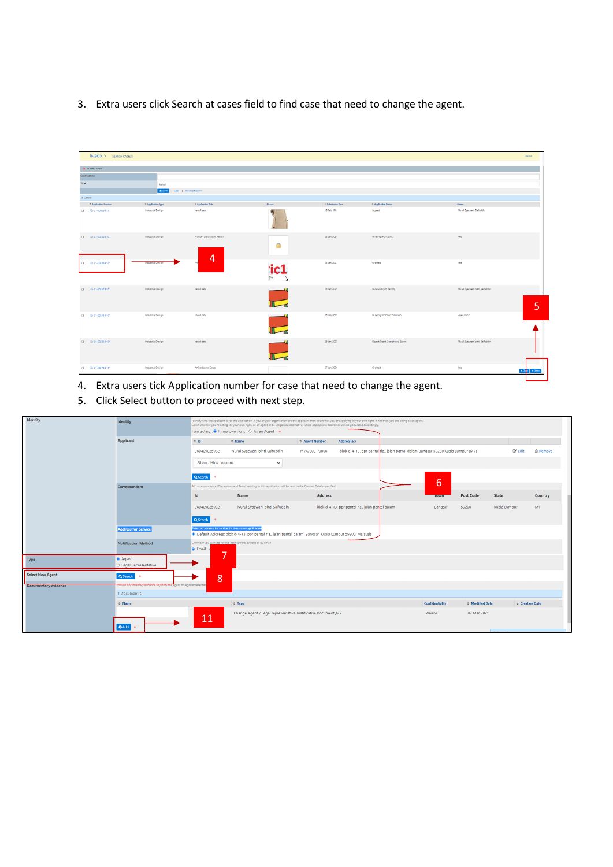3. Extra users click Search at cases field to find case that need to change the agent.

| $INBOX >$ SEARCH CASE(S)          |                                   |                                              |         |                   |                                |                                | Logout                                   |
|-----------------------------------|-----------------------------------|----------------------------------------------|---------|-------------------|--------------------------------|--------------------------------|------------------------------------------|
| · Search Ofterla                  |                                   |                                              |         |                   |                                |                                |                                          |
| Case Number                       |                                   |                                              |         |                   |                                |                                |                                          |
| Title                             | kerusi                            |                                              |         |                   |                                |                                |                                          |
|                                   | Q Small + Clear   Advanced Search |                                              |         |                   |                                |                                |                                          |
| $26$ Case(s)                      |                                   |                                              |         |                   |                                |                                |                                          |
| - Application Number              | 0 Application Type                | 0 Application Title                          | Picture | 0 Submission Date | 0 Application Status           | Owner                          |                                          |
| $0 = 21-00424-0101$               | Industrial Design                 | kerusi satu                                  |         | 18 Feb 2021       | Lapsed                         | Nurul Syazwani Saifuddin       |                                          |
| $0 = 21 - 60202 - 0101$           | Industrial Design                 | Product Description Kerusi<br>$\overline{4}$ | 圇       | 23 Jan 2021       | Pending (Formality)            | Yus                            |                                          |
| $\square$ $\square$ 21-E0206-0101 | <b>Houstnal Design</b>            |                                              | 'ic1    | 25 Jan 2021       | Granted                        | Yus                            |                                          |
| $\Box$ $\Box$ 21-80252-0101       | Industrial Design                 | loerusi satu                                 |         | 26 Jan 2021       | Renewed (5th Period)           | Nurul Syazwani binti Saifuddin | 5                                        |
| $0 = 21 - 60254 - 0101$           | Industrial Design                 | kerusi satu                                  |         | 26 Jan 2021       | Pending for Court Decision     | wani com 1                     |                                          |
| $\Box$ 21-80263-0101              | Industrial Design                 | kerusi satu                                  |         | 26 Jan 2021       | Object Grant (Search and Exam) | Nurul Syazwani binti Saifuddin |                                          |
| $0 = 21 - 80276 - 0101$           | Industrial Design                 | Article Name Kerusi                          |         | 27 Jan 2021       | Granted                        | Yus                            | <b>x</b> Co <sub>p</sub><br>$\vee$ Salad |
|                                   |                                   |                                              |         |                   |                                |                                |                                          |

- 4. Extra users tick Application number for case that need to change the agent.
- 5. Click Select button to proceed with next step.

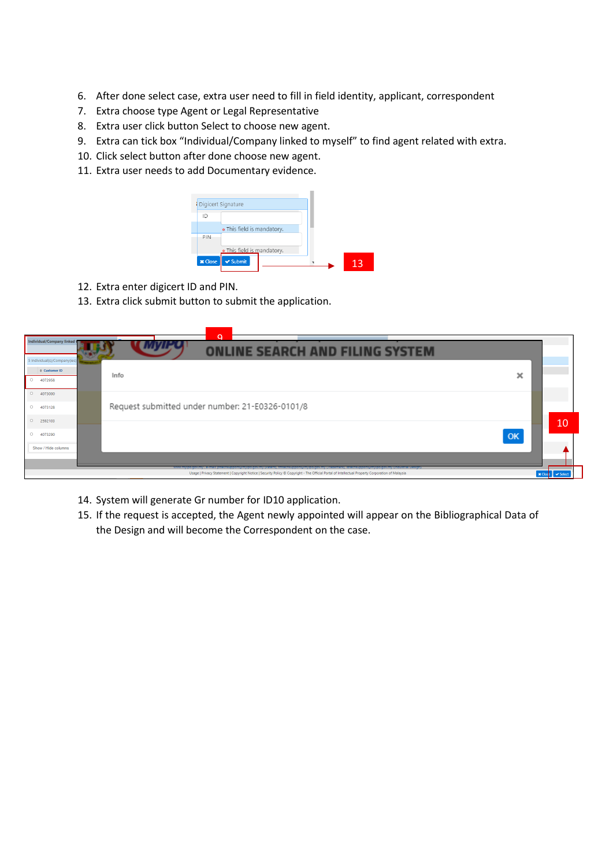- 6. After done select case, extra user need to fill in field identity, applicant, correspondent
- 7. Extra choose type Agent or Legal Representative
- 8. Extra user click button Select to choose new agent.
- 9. Extra can tick box "Individual/Company linked to myself" to find agent related with extra.
- 10. Click select button after done choose new agent.
- 11. Extra user needs to add Documentary evidence.



- 12. Extra enter digicert ID and PIN.
- 13. Extra click submit button to submit the application.

| Individual/Company linked<br>5 Individual(s)/Company(ies) | $\Omega$<br><b>NLINE SEARCH AND FILING SYSTEM</b>                                                                                                                                                                                                                                                            |    |                         |
|-----------------------------------------------------------|--------------------------------------------------------------------------------------------------------------------------------------------------------------------------------------------------------------------------------------------------------------------------------------------------------------|----|-------------------------|
| Customer ID<br>$0$ 4072958                                | Info                                                                                                                                                                                                                                                                                                         | ×  |                         |
| $0$ 4073000<br>$\circ$<br>4073128                         | Request submitted under number: 21-E0326-0101/8                                                                                                                                                                                                                                                              |    |                         |
| $\circ$<br>2592103<br>$\circ$<br>4073290                  |                                                                                                                                                                                                                                                                                                              | OK | 10                      |
| Show / Hide columns                                       | www.myipo.gov.my . e-mail: pttechsupport@myipo.gov.my (Patent), tmtechsupport@myipo.gov.my (Irademark), idtechsupport@myipo.gov.my (industrial Design).<br>Usage   Privacy Statement   Copyright Notice   Security Policy C Copyright - The Official Portal of Intellectual Property Corporation of Malaysia |    | X Close <i>V</i> Select |

- 14. System will generate Gr number for ID10 application.
- 15. If the request is accepted, the Agent newly appointed will appear on the Bibliographical Data of the Design and will become the Correspondent on the case.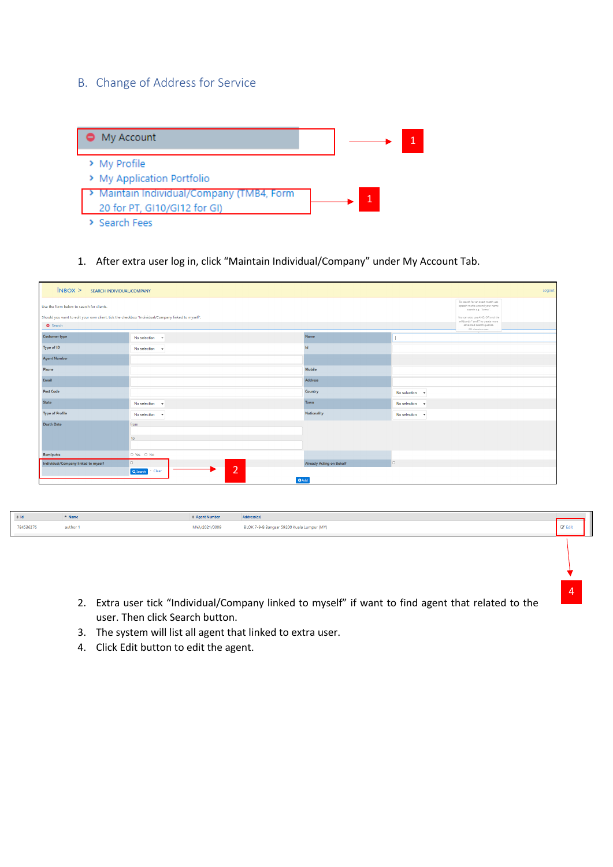## B. Change of Address for Service

| My Account                                    |   |  |
|-----------------------------------------------|---|--|
| > My Profile<br>> My Application Portfolio    |   |  |
| > Maintain Individual/Company (TMB4, Form     | 1 |  |
| 20 for PT, GI10/GI12 for GI)<br>> Search Fees |   |  |

1. After extra user log in, click "Maintain Individual/Company" under My Account Tab.

| NBOX > SEARCH INDIVIDUAL/COMPANY<br>Logout |                                                                                                   |                                                                                          |                            |  |  |  |  |
|--------------------------------------------|---------------------------------------------------------------------------------------------------|------------------------------------------------------------------------------------------|----------------------------|--|--|--|--|
| Use the form below to search for clients.  |                                                                                                   | To search for an exact match use<br>speech marks around your name<br>search e.g. "Acme". |                            |  |  |  |  |
| Search                                     | Should you want to edit your own client, tick the checkbox "Individual/Company linked to myself". |                                                                                          |                            |  |  |  |  |
| <b>Customer type</b>                       | No selection -                                                                                    | Name                                                                                     |                            |  |  |  |  |
| Type of ID                                 | No selection $\sim$                                                                               | Id                                                                                       |                            |  |  |  |  |
| <b>Agent Number</b>                        |                                                                                                   |                                                                                          |                            |  |  |  |  |
| Phone                                      |                                                                                                   | Mobile                                                                                   |                            |  |  |  |  |
| Email                                      |                                                                                                   | <b>Address</b>                                                                           |                            |  |  |  |  |
| <b>Post Code</b>                           |                                                                                                   | Country                                                                                  | No selection $\rightarrow$ |  |  |  |  |
| <b>State</b>                               | No selection $\sim$                                                                               | Town                                                                                     | No selection $\sim$        |  |  |  |  |
| <b>Type of Profile</b>                     | No selection $\sim$                                                                               | <b>Nationality</b>                                                                       | No selection $\rightarrow$ |  |  |  |  |
| <b>Death Date</b>                          | from<br>to                                                                                        |                                                                                          |                            |  |  |  |  |
| <b>Bumiputra</b>                           | O Yes O No                                                                                        |                                                                                          |                            |  |  |  |  |
| Individual/Company linked to myself        | O.<br>$\overline{2}$<br>Q Search   - Clear                                                        | <b>Already Acting on Behalf</b><br>$O$ Add                                               | lo.                        |  |  |  |  |

| $\oplus$ Id | $A$ Nam  | Agent Number  | Address(es)                                |   |
|-------------|----------|---------------|--------------------------------------------|---|
| 784536276   | author 1 | MYA/2021/0009 | BLOK 7-9-8 Bangsar 59200 Kuala Lumpur (MY) | ÷ |

2. Extra user tick "Individual/Company linked to myself" if want to find agent that related to the user. Then click Search button.

4

- 3. The system will list all agent that linked to extra user.
- 4. Click Edit button to edit the agent.